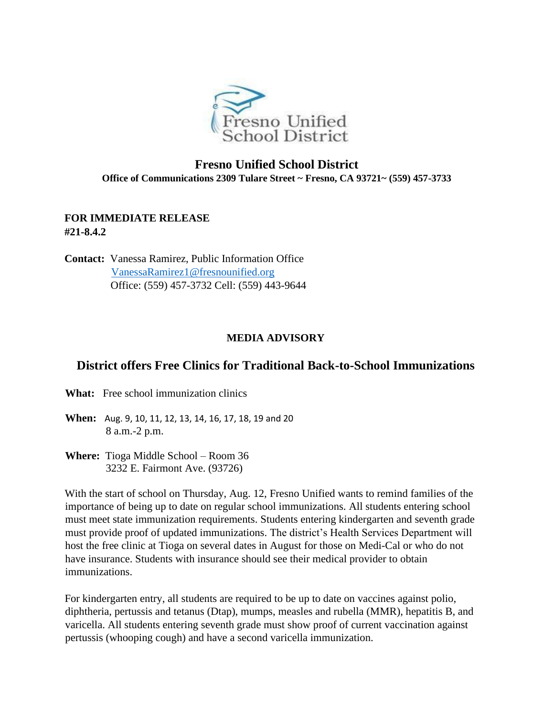

## **Fresno Unified School District Office of Communications 2309 Tulare Street ~ Fresno, CA 93721~ (559) 457-3733**

## **FOR IMMEDIATE RELEASE #21-8.4.2**

**Contact:** Vanessa Ramirez, Public Information Office VanessaRamirez1@fresnounified.org Office: (559) 457-3732 Cell: (559) 443-9644

## **MEDIA ADVISORY**

## **District offers Free Clinics for Traditional Back-to-School Immunizations**

**What:** Free school immunization clinics

**When:** Aug. 9, 10, 11, 12, 13, 14, 16, 17, 18, 19 and 20 8 a.m.-2 p.m.

**Where:** Tioga Middle School – Room 36 3232 E. Fairmont Ave. (93726)

With the start of school on Thursday, Aug. 12, Fresno Unified wants to remind families of the importance of being up to date on regular school immunizations. All students entering school must meet state immunization requirements. Students entering kindergarten and seventh grade must provide proof of updated immunizations. The district's Health Services Department will host the free clinic at Tioga on several dates in August for those on Medi-Cal or who do not have insurance. Students with insurance should see their medical provider to obtain immunizations.

For kindergarten entry, all students are required to be up to date on vaccines against polio, diphtheria, pertussis and tetanus (Dtap), mumps, measles and rubella (MMR), hepatitis B, and varicella. All students entering seventh grade must show proof of current vaccination against pertussis (whooping cough) and have a second varicella immunization.